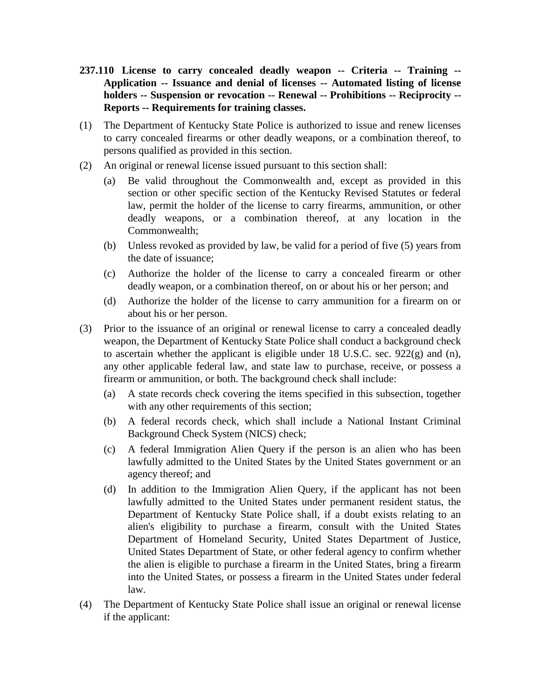- **237.110 License to carry concealed deadly weapon -- Criteria -- Training -- Application -- Issuance and denial of licenses -- Automated listing of license holders -- Suspension or revocation -- Renewal -- Prohibitions -- Reciprocity -- Reports -- Requirements for training classes.**
- (1) The Department of Kentucky State Police is authorized to issue and renew licenses to carry concealed firearms or other deadly weapons, or a combination thereof, to persons qualified as provided in this section.
- (2) An original or renewal license issued pursuant to this section shall:
	- (a) Be valid throughout the Commonwealth and, except as provided in this section or other specific section of the Kentucky Revised Statutes or federal law, permit the holder of the license to carry firearms, ammunition, or other deadly weapons, or a combination thereof, at any location in the Commonwealth;
	- (b) Unless revoked as provided by law, be valid for a period of five (5) years from the date of issuance;
	- (c) Authorize the holder of the license to carry a concealed firearm or other deadly weapon, or a combination thereof, on or about his or her person; and
	- (d) Authorize the holder of the license to carry ammunition for a firearm on or about his or her person.
- (3) Prior to the issuance of an original or renewal license to carry a concealed deadly weapon, the Department of Kentucky State Police shall conduct a background check to ascertain whether the applicant is eligible under 18 U.S.C. sec. 922(g) and (n), any other applicable federal law, and state law to purchase, receive, or possess a firearm or ammunition, or both. The background check shall include:
	- (a) A state records check covering the items specified in this subsection, together with any other requirements of this section;
	- (b) A federal records check, which shall include a National Instant Criminal Background Check System (NICS) check;
	- (c) A federal Immigration Alien Query if the person is an alien who has been lawfully admitted to the United States by the United States government or an agency thereof; and
	- (d) In addition to the Immigration Alien Query, if the applicant has not been lawfully admitted to the United States under permanent resident status, the Department of Kentucky State Police shall, if a doubt exists relating to an alien's eligibility to purchase a firearm, consult with the United States Department of Homeland Security, United States Department of Justice, United States Department of State, or other federal agency to confirm whether the alien is eligible to purchase a firearm in the United States, bring a firearm into the United States, or possess a firearm in the United States under federal law.
- (4) The Department of Kentucky State Police shall issue an original or renewal license if the applicant: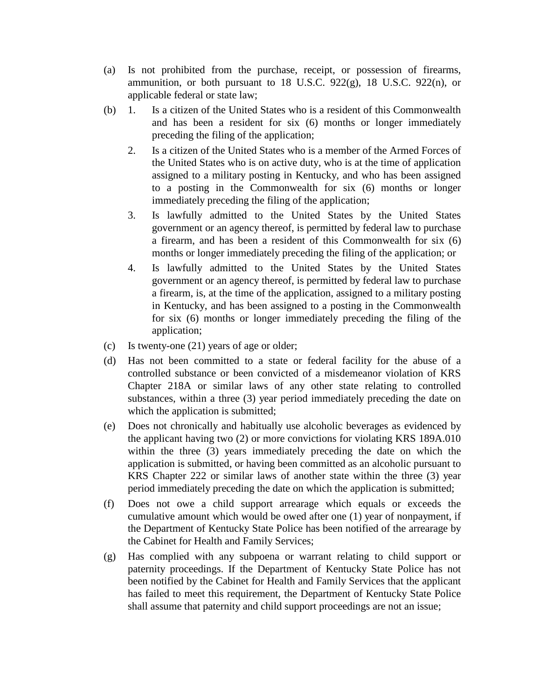- (a) Is not prohibited from the purchase, receipt, or possession of firearms, ammunition, or both pursuant to 18 U.S.C. 922(g), 18 U.S.C. 922(n), or applicable federal or state law;
- (b) 1. Is a citizen of the United States who is a resident of this Commonwealth and has been a resident for six (6) months or longer immediately preceding the filing of the application;
	- 2. Is a citizen of the United States who is a member of the Armed Forces of the United States who is on active duty, who is at the time of application assigned to a military posting in Kentucky, and who has been assigned to a posting in the Commonwealth for six (6) months or longer immediately preceding the filing of the application;
	- 3. Is lawfully admitted to the United States by the United States government or an agency thereof, is permitted by federal law to purchase a firearm, and has been a resident of this Commonwealth for six (6) months or longer immediately preceding the filing of the application; or
	- 4. Is lawfully admitted to the United States by the United States government or an agency thereof, is permitted by federal law to purchase a firearm, is, at the time of the application, assigned to a military posting in Kentucky, and has been assigned to a posting in the Commonwealth for six (6) months or longer immediately preceding the filing of the application;
- (c) Is twenty-one (21) years of age or older;
- (d) Has not been committed to a state or federal facility for the abuse of a controlled substance or been convicted of a misdemeanor violation of KRS Chapter 218A or similar laws of any other state relating to controlled substances, within a three (3) year period immediately preceding the date on which the application is submitted;
- (e) Does not chronically and habitually use alcoholic beverages as evidenced by the applicant having two (2) or more convictions for violating KRS 189A.010 within the three (3) years immediately preceding the date on which the application is submitted, or having been committed as an alcoholic pursuant to KRS Chapter 222 or similar laws of another state within the three (3) year period immediately preceding the date on which the application is submitted;
- (f) Does not owe a child support arrearage which equals or exceeds the cumulative amount which would be owed after one (1) year of nonpayment, if the Department of Kentucky State Police has been notified of the arrearage by the Cabinet for Health and Family Services;
- (g) Has complied with any subpoena or warrant relating to child support or paternity proceedings. If the Department of Kentucky State Police has not been notified by the Cabinet for Health and Family Services that the applicant has failed to meet this requirement, the Department of Kentucky State Police shall assume that paternity and child support proceedings are not an issue;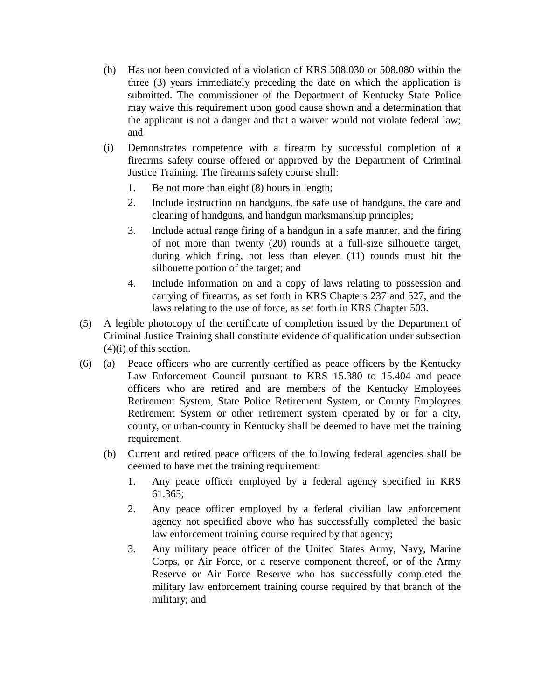- (h) Has not been convicted of a violation of KRS 508.030 or 508.080 within the three (3) years immediately preceding the date on which the application is submitted. The commissioner of the Department of Kentucky State Police may waive this requirement upon good cause shown and a determination that the applicant is not a danger and that a waiver would not violate federal law; and
- (i) Demonstrates competence with a firearm by successful completion of a firearms safety course offered or approved by the Department of Criminal Justice Training. The firearms safety course shall:
	- 1. Be not more than eight (8) hours in length;
	- 2. Include instruction on handguns, the safe use of handguns, the care and cleaning of handguns, and handgun marksmanship principles;
	- 3. Include actual range firing of a handgun in a safe manner, and the firing of not more than twenty (20) rounds at a full-size silhouette target, during which firing, not less than eleven (11) rounds must hit the silhouette portion of the target; and
	- 4. Include information on and a copy of laws relating to possession and carrying of firearms, as set forth in KRS Chapters 237 and 527, and the laws relating to the use of force, as set forth in KRS Chapter 503.
- (5) A legible photocopy of the certificate of completion issued by the Department of Criminal Justice Training shall constitute evidence of qualification under subsection  $(4)(i)$  of this section.
- (6) (a) Peace officers who are currently certified as peace officers by the Kentucky Law Enforcement Council pursuant to KRS 15.380 to 15.404 and peace officers who are retired and are members of the Kentucky Employees Retirement System, State Police Retirement System, or County Employees Retirement System or other retirement system operated by or for a city, county, or urban-county in Kentucky shall be deemed to have met the training requirement.
	- (b) Current and retired peace officers of the following federal agencies shall be deemed to have met the training requirement:
		- 1. Any peace officer employed by a federal agency specified in KRS 61.365;
		- 2. Any peace officer employed by a federal civilian law enforcement agency not specified above who has successfully completed the basic law enforcement training course required by that agency;
		- 3. Any military peace officer of the United States Army, Navy, Marine Corps, or Air Force, or a reserve component thereof, or of the Army Reserve or Air Force Reserve who has successfully completed the military law enforcement training course required by that branch of the military; and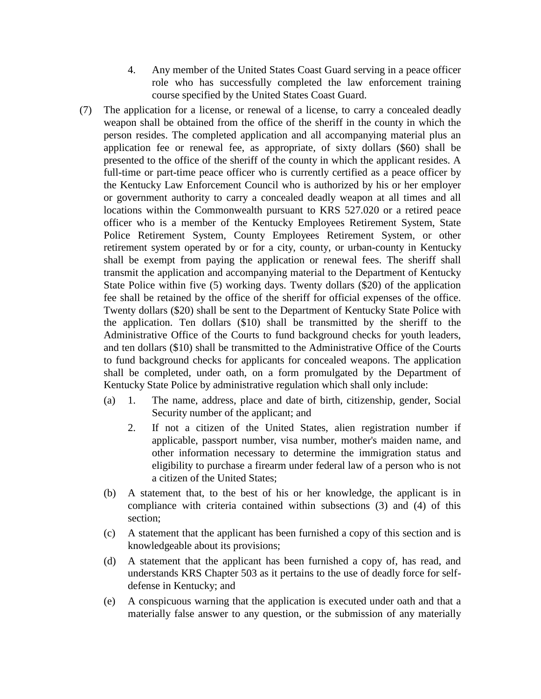- 4. Any member of the United States Coast Guard serving in a peace officer role who has successfully completed the law enforcement training course specified by the United States Coast Guard.
- (7) The application for a license, or renewal of a license, to carry a concealed deadly weapon shall be obtained from the office of the sheriff in the county in which the person resides. The completed application and all accompanying material plus an application fee or renewal fee, as appropriate, of sixty dollars (\$60) shall be presented to the office of the sheriff of the county in which the applicant resides. A full-time or part-time peace officer who is currently certified as a peace officer by the Kentucky Law Enforcement Council who is authorized by his or her employer or government authority to carry a concealed deadly weapon at all times and all locations within the Commonwealth pursuant to KRS 527.020 or a retired peace officer who is a member of the Kentucky Employees Retirement System, State Police Retirement System, County Employees Retirement System, or other retirement system operated by or for a city, county, or urban-county in Kentucky shall be exempt from paying the application or renewal fees. The sheriff shall transmit the application and accompanying material to the Department of Kentucky State Police within five (5) working days. Twenty dollars (\$20) of the application fee shall be retained by the office of the sheriff for official expenses of the office. Twenty dollars (\$20) shall be sent to the Department of Kentucky State Police with the application. Ten dollars (\$10) shall be transmitted by the sheriff to the Administrative Office of the Courts to fund background checks for youth leaders, and ten dollars (\$10) shall be transmitted to the Administrative Office of the Courts to fund background checks for applicants for concealed weapons. The application shall be completed, under oath, on a form promulgated by the Department of Kentucky State Police by administrative regulation which shall only include:
	- (a) 1. The name, address, place and date of birth, citizenship, gender, Social Security number of the applicant; and
		- 2. If not a citizen of the United States, alien registration number if applicable, passport number, visa number, mother's maiden name, and other information necessary to determine the immigration status and eligibility to purchase a firearm under federal law of a person who is not a citizen of the United States;
	- (b) A statement that, to the best of his or her knowledge, the applicant is in compliance with criteria contained within subsections (3) and (4) of this section;
	- (c) A statement that the applicant has been furnished a copy of this section and is knowledgeable about its provisions;
	- (d) A statement that the applicant has been furnished a copy of, has read, and understands KRS Chapter 503 as it pertains to the use of deadly force for selfdefense in Kentucky; and
	- (e) A conspicuous warning that the application is executed under oath and that a materially false answer to any question, or the submission of any materially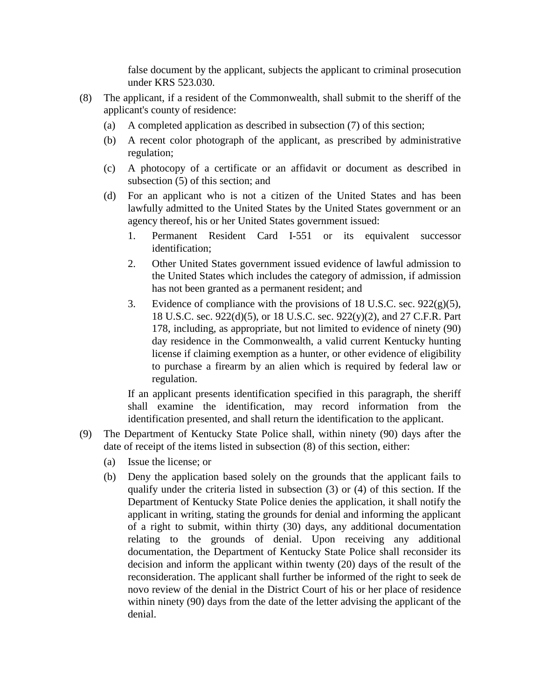false document by the applicant, subjects the applicant to criminal prosecution under KRS 523.030.

- (8) The applicant, if a resident of the Commonwealth, shall submit to the sheriff of the applicant's county of residence:
	- (a) A completed application as described in subsection (7) of this section;
	- (b) A recent color photograph of the applicant, as prescribed by administrative regulation;
	- (c) A photocopy of a certificate or an affidavit or document as described in subsection (5) of this section; and
	- (d) For an applicant who is not a citizen of the United States and has been lawfully admitted to the United States by the United States government or an agency thereof, his or her United States government issued:
		- 1. Permanent Resident Card I-551 or its equivalent successor identification;
		- 2. Other United States government issued evidence of lawful admission to the United States which includes the category of admission, if admission has not been granted as a permanent resident; and
		- 3. Evidence of compliance with the provisions of 18 U.S.C. sec.  $922(g)(5)$ , 18 U.S.C. sec. 922(d)(5), or 18 U.S.C. sec. 922(y)(2), and 27 C.F.R. Part 178, including, as appropriate, but not limited to evidence of ninety (90) day residence in the Commonwealth, a valid current Kentucky hunting license if claiming exemption as a hunter, or other evidence of eligibility to purchase a firearm by an alien which is required by federal law or regulation.

If an applicant presents identification specified in this paragraph, the sheriff shall examine the identification, may record information from the identification presented, and shall return the identification to the applicant.

- (9) The Department of Kentucky State Police shall, within ninety (90) days after the date of receipt of the items listed in subsection (8) of this section, either:
	- (a) Issue the license; or
	- (b) Deny the application based solely on the grounds that the applicant fails to qualify under the criteria listed in subsection (3) or (4) of this section. If the Department of Kentucky State Police denies the application, it shall notify the applicant in writing, stating the grounds for denial and informing the applicant of a right to submit, within thirty (30) days, any additional documentation relating to the grounds of denial. Upon receiving any additional documentation, the Department of Kentucky State Police shall reconsider its decision and inform the applicant within twenty (20) days of the result of the reconsideration. The applicant shall further be informed of the right to seek de novo review of the denial in the District Court of his or her place of residence within ninety (90) days from the date of the letter advising the applicant of the denial.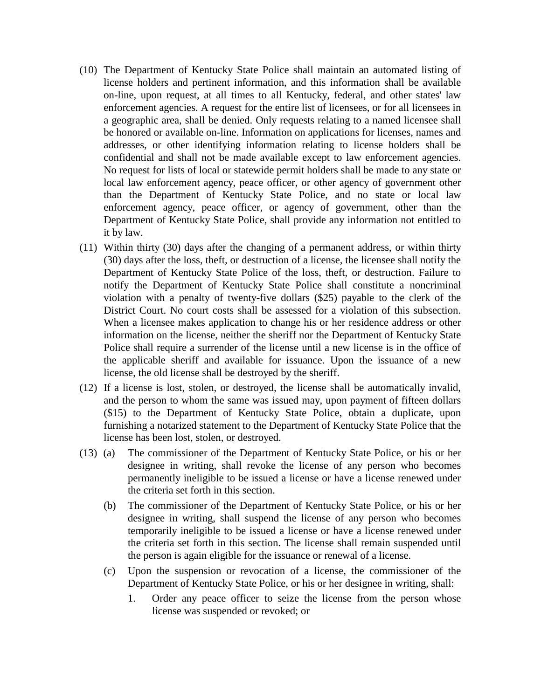- (10) The Department of Kentucky State Police shall maintain an automated listing of license holders and pertinent information, and this information shall be available on-line, upon request, at all times to all Kentucky, federal, and other states' law enforcement agencies. A request for the entire list of licensees, or for all licensees in a geographic area, shall be denied. Only requests relating to a named licensee shall be honored or available on-line. Information on applications for licenses, names and addresses, or other identifying information relating to license holders shall be confidential and shall not be made available except to law enforcement agencies. No request for lists of local or statewide permit holders shall be made to any state or local law enforcement agency, peace officer, or other agency of government other than the Department of Kentucky State Police, and no state or local law enforcement agency, peace officer, or agency of government, other than the Department of Kentucky State Police, shall provide any information not entitled to it by law.
- (11) Within thirty (30) days after the changing of a permanent address, or within thirty (30) days after the loss, theft, or destruction of a license, the licensee shall notify the Department of Kentucky State Police of the loss, theft, or destruction. Failure to notify the Department of Kentucky State Police shall constitute a noncriminal violation with a penalty of twenty-five dollars (\$25) payable to the clerk of the District Court. No court costs shall be assessed for a violation of this subsection. When a licensee makes application to change his or her residence address or other information on the license, neither the sheriff nor the Department of Kentucky State Police shall require a surrender of the license until a new license is in the office of the applicable sheriff and available for issuance. Upon the issuance of a new license, the old license shall be destroyed by the sheriff.
- (12) If a license is lost, stolen, or destroyed, the license shall be automatically invalid, and the person to whom the same was issued may, upon payment of fifteen dollars (\$15) to the Department of Kentucky State Police, obtain a duplicate, upon furnishing a notarized statement to the Department of Kentucky State Police that the license has been lost, stolen, or destroyed.
- (13) (a) The commissioner of the Department of Kentucky State Police, or his or her designee in writing, shall revoke the license of any person who becomes permanently ineligible to be issued a license or have a license renewed under the criteria set forth in this section.
	- (b) The commissioner of the Department of Kentucky State Police, or his or her designee in writing, shall suspend the license of any person who becomes temporarily ineligible to be issued a license or have a license renewed under the criteria set forth in this section. The license shall remain suspended until the person is again eligible for the issuance or renewal of a license.
	- (c) Upon the suspension or revocation of a license, the commissioner of the Department of Kentucky State Police, or his or her designee in writing, shall:
		- 1. Order any peace officer to seize the license from the person whose license was suspended or revoked; or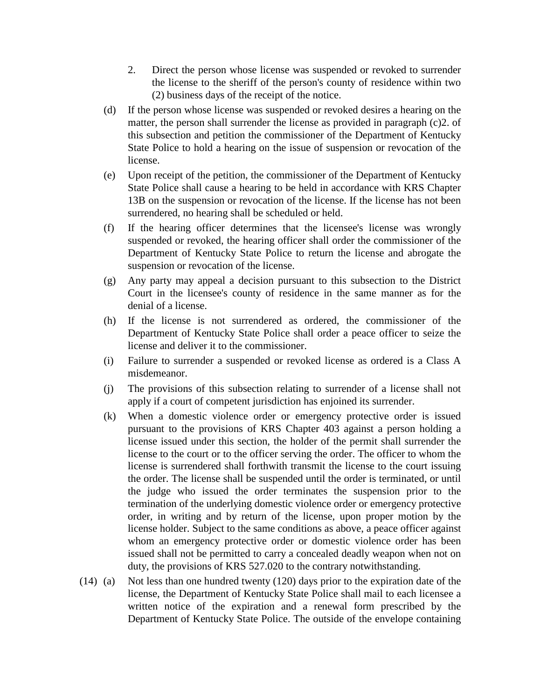- 2. Direct the person whose license was suspended or revoked to surrender the license to the sheriff of the person's county of residence within two (2) business days of the receipt of the notice.
- (d) If the person whose license was suspended or revoked desires a hearing on the matter, the person shall surrender the license as provided in paragraph (c)2. of this subsection and petition the commissioner of the Department of Kentucky State Police to hold a hearing on the issue of suspension or revocation of the license.
- (e) Upon receipt of the petition, the commissioner of the Department of Kentucky State Police shall cause a hearing to be held in accordance with KRS Chapter 13B on the suspension or revocation of the license. If the license has not been surrendered, no hearing shall be scheduled or held.
- (f) If the hearing officer determines that the licensee's license was wrongly suspended or revoked, the hearing officer shall order the commissioner of the Department of Kentucky State Police to return the license and abrogate the suspension or revocation of the license.
- (g) Any party may appeal a decision pursuant to this subsection to the District Court in the licensee's county of residence in the same manner as for the denial of a license.
- (h) If the license is not surrendered as ordered, the commissioner of the Department of Kentucky State Police shall order a peace officer to seize the license and deliver it to the commissioner.
- (i) Failure to surrender a suspended or revoked license as ordered is a Class A misdemeanor.
- (j) The provisions of this subsection relating to surrender of a license shall not apply if a court of competent jurisdiction has enjoined its surrender.
- (k) When a domestic violence order or emergency protective order is issued pursuant to the provisions of KRS Chapter 403 against a person holding a license issued under this section, the holder of the permit shall surrender the license to the court or to the officer serving the order. The officer to whom the license is surrendered shall forthwith transmit the license to the court issuing the order. The license shall be suspended until the order is terminated, or until the judge who issued the order terminates the suspension prior to the termination of the underlying domestic violence order or emergency protective order, in writing and by return of the license, upon proper motion by the license holder. Subject to the same conditions as above, a peace officer against whom an emergency protective order or domestic violence order has been issued shall not be permitted to carry a concealed deadly weapon when not on duty, the provisions of KRS 527.020 to the contrary notwithstanding.
- (14) (a) Not less than one hundred twenty (120) days prior to the expiration date of the license, the Department of Kentucky State Police shall mail to each licensee a written notice of the expiration and a renewal form prescribed by the Department of Kentucky State Police. The outside of the envelope containing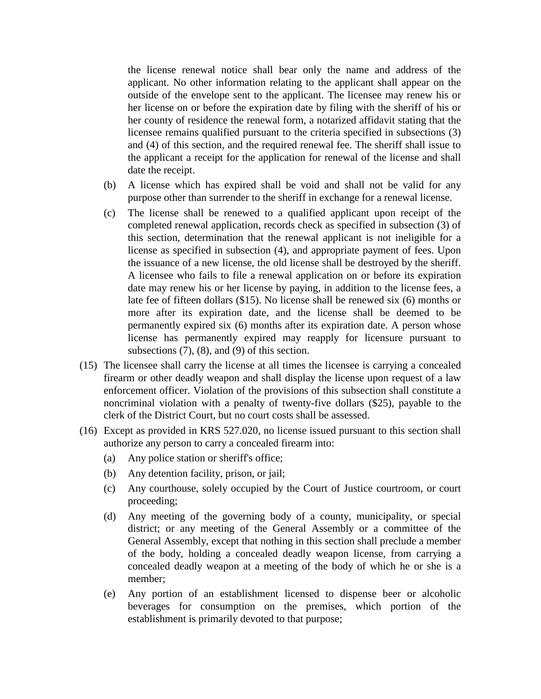the license renewal notice shall bear only the name and address of the applicant. No other information relating to the applicant shall appear on the outside of the envelope sent to the applicant. The licensee may renew his or her license on or before the expiration date by filing with the sheriff of his or her county of residence the renewal form, a notarized affidavit stating that the licensee remains qualified pursuant to the criteria specified in subsections (3) and (4) of this section, and the required renewal fee. The sheriff shall issue to the applicant a receipt for the application for renewal of the license and shall date the receipt.

- (b) A license which has expired shall be void and shall not be valid for any purpose other than surrender to the sheriff in exchange for a renewal license.
- (c) The license shall be renewed to a qualified applicant upon receipt of the completed renewal application, records check as specified in subsection (3) of this section, determination that the renewal applicant is not ineligible for a license as specified in subsection (4), and appropriate payment of fees. Upon the issuance of a new license, the old license shall be destroyed by the sheriff. A licensee who fails to file a renewal application on or before its expiration date may renew his or her license by paying, in addition to the license fees, a late fee of fifteen dollars (\$15). No license shall be renewed six (6) months or more after its expiration date, and the license shall be deemed to be permanently expired six (6) months after its expiration date. A person whose license has permanently expired may reapply for licensure pursuant to subsections (7), (8), and (9) of this section.
- (15) The licensee shall carry the license at all times the licensee is carrying a concealed firearm or other deadly weapon and shall display the license upon request of a law enforcement officer. Violation of the provisions of this subsection shall constitute a noncriminal violation with a penalty of twenty-five dollars (\$25), payable to the clerk of the District Court, but no court costs shall be assessed.
- (16) Except as provided in KRS 527.020, no license issued pursuant to this section shall authorize any person to carry a concealed firearm into:
	- (a) Any police station or sheriff's office;
	- (b) Any detention facility, prison, or jail;
	- (c) Any courthouse, solely occupied by the Court of Justice courtroom, or court proceeding;
	- (d) Any meeting of the governing body of a county, municipality, or special district; or any meeting of the General Assembly or a committee of the General Assembly, except that nothing in this section shall preclude a member of the body, holding a concealed deadly weapon license, from carrying a concealed deadly weapon at a meeting of the body of which he or she is a member;
	- (e) Any portion of an establishment licensed to dispense beer or alcoholic beverages for consumption on the premises, which portion of the establishment is primarily devoted to that purpose;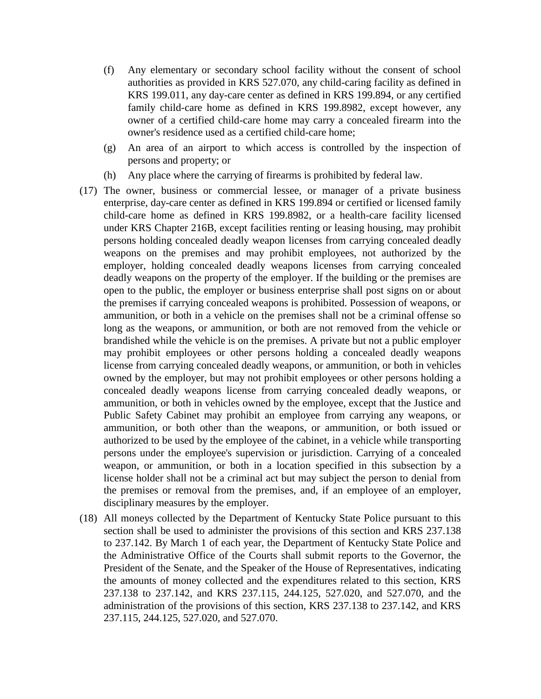- (f) Any elementary or secondary school facility without the consent of school authorities as provided in KRS 527.070, any child-caring facility as defined in KRS 199.011, any day-care center as defined in KRS 199.894, or any certified family child-care home as defined in KRS 199.8982, except however, any owner of a certified child-care home may carry a concealed firearm into the owner's residence used as a certified child-care home;
- (g) An area of an airport to which access is controlled by the inspection of persons and property; or
- (h) Any place where the carrying of firearms is prohibited by federal law.
- (17) The owner, business or commercial lessee, or manager of a private business enterprise, day-care center as defined in KRS 199.894 or certified or licensed family child-care home as defined in KRS 199.8982, or a health-care facility licensed under KRS Chapter 216B, except facilities renting or leasing housing, may prohibit persons holding concealed deadly weapon licenses from carrying concealed deadly weapons on the premises and may prohibit employees, not authorized by the employer, holding concealed deadly weapons licenses from carrying concealed deadly weapons on the property of the employer. If the building or the premises are open to the public, the employer or business enterprise shall post signs on or about the premises if carrying concealed weapons is prohibited. Possession of weapons, or ammunition, or both in a vehicle on the premises shall not be a criminal offense so long as the weapons, or ammunition, or both are not removed from the vehicle or brandished while the vehicle is on the premises. A private but not a public employer may prohibit employees or other persons holding a concealed deadly weapons license from carrying concealed deadly weapons, or ammunition, or both in vehicles owned by the employer, but may not prohibit employees or other persons holding a concealed deadly weapons license from carrying concealed deadly weapons, or ammunition, or both in vehicles owned by the employee, except that the Justice and Public Safety Cabinet may prohibit an employee from carrying any weapons, or ammunition, or both other than the weapons, or ammunition, or both issued or authorized to be used by the employee of the cabinet, in a vehicle while transporting persons under the employee's supervision or jurisdiction. Carrying of a concealed weapon, or ammunition, or both in a location specified in this subsection by a license holder shall not be a criminal act but may subject the person to denial from the premises or removal from the premises, and, if an employee of an employer, disciplinary measures by the employer.
- (18) All moneys collected by the Department of Kentucky State Police pursuant to this section shall be used to administer the provisions of this section and KRS 237.138 to 237.142. By March 1 of each year, the Department of Kentucky State Police and the Administrative Office of the Courts shall submit reports to the Governor, the President of the Senate, and the Speaker of the House of Representatives, indicating the amounts of money collected and the expenditures related to this section, KRS 237.138 to 237.142, and KRS 237.115, 244.125, 527.020, and 527.070, and the administration of the provisions of this section, KRS 237.138 to 237.142, and KRS 237.115, 244.125, 527.020, and 527.070.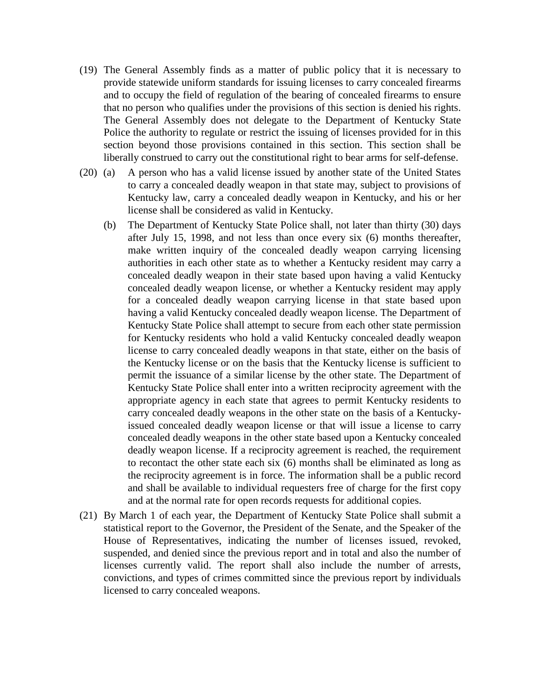- (19) The General Assembly finds as a matter of public policy that it is necessary to provide statewide uniform standards for issuing licenses to carry concealed firearms and to occupy the field of regulation of the bearing of concealed firearms to ensure that no person who qualifies under the provisions of this section is denied his rights. The General Assembly does not delegate to the Department of Kentucky State Police the authority to regulate or restrict the issuing of licenses provided for in this section beyond those provisions contained in this section. This section shall be liberally construed to carry out the constitutional right to bear arms for self-defense.
- (20) (a) A person who has a valid license issued by another state of the United States to carry a concealed deadly weapon in that state may, subject to provisions of Kentucky law, carry a concealed deadly weapon in Kentucky, and his or her license shall be considered as valid in Kentucky.
	- (b) The Department of Kentucky State Police shall, not later than thirty (30) days after July 15, 1998, and not less than once every six (6) months thereafter, make written inquiry of the concealed deadly weapon carrying licensing authorities in each other state as to whether a Kentucky resident may carry a concealed deadly weapon in their state based upon having a valid Kentucky concealed deadly weapon license, or whether a Kentucky resident may apply for a concealed deadly weapon carrying license in that state based upon having a valid Kentucky concealed deadly weapon license. The Department of Kentucky State Police shall attempt to secure from each other state permission for Kentucky residents who hold a valid Kentucky concealed deadly weapon license to carry concealed deadly weapons in that state, either on the basis of the Kentucky license or on the basis that the Kentucky license is sufficient to permit the issuance of a similar license by the other state. The Department of Kentucky State Police shall enter into a written reciprocity agreement with the appropriate agency in each state that agrees to permit Kentucky residents to carry concealed deadly weapons in the other state on the basis of a Kentuckyissued concealed deadly weapon license or that will issue a license to carry concealed deadly weapons in the other state based upon a Kentucky concealed deadly weapon license. If a reciprocity agreement is reached, the requirement to recontact the other state each six (6) months shall be eliminated as long as the reciprocity agreement is in force. The information shall be a public record and shall be available to individual requesters free of charge for the first copy and at the normal rate for open records requests for additional copies.
- (21) By March 1 of each year, the Department of Kentucky State Police shall submit a statistical report to the Governor, the President of the Senate, and the Speaker of the House of Representatives, indicating the number of licenses issued, revoked, suspended, and denied since the previous report and in total and also the number of licenses currently valid. The report shall also include the number of arrests, convictions, and types of crimes committed since the previous report by individuals licensed to carry concealed weapons.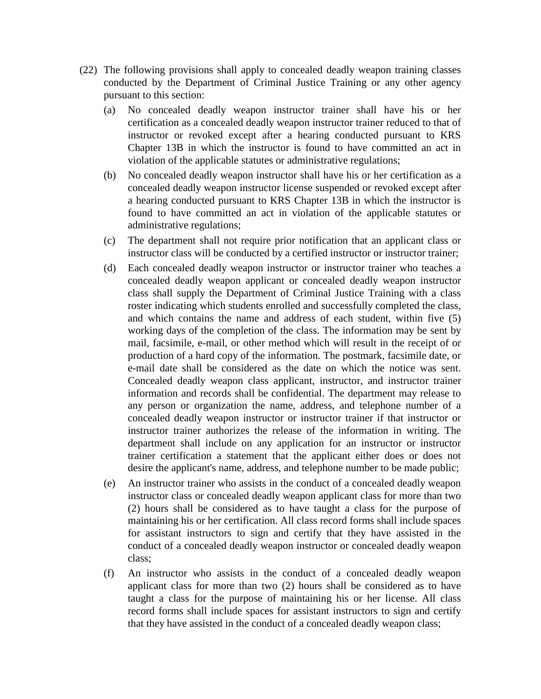- (22) The following provisions shall apply to concealed deadly weapon training classes conducted by the Department of Criminal Justice Training or any other agency pursuant to this section:
	- (a) No concealed deadly weapon instructor trainer shall have his or her certification as a concealed deadly weapon instructor trainer reduced to that of instructor or revoked except after a hearing conducted pursuant to KRS Chapter 13B in which the instructor is found to have committed an act in violation of the applicable statutes or administrative regulations;
	- (b) No concealed deadly weapon instructor shall have his or her certification as a concealed deadly weapon instructor license suspended or revoked except after a hearing conducted pursuant to KRS Chapter 13B in which the instructor is found to have committed an act in violation of the applicable statutes or administrative regulations;
	- (c) The department shall not require prior notification that an applicant class or instructor class will be conducted by a certified instructor or instructor trainer;
	- (d) Each concealed deadly weapon instructor or instructor trainer who teaches a concealed deadly weapon applicant or concealed deadly weapon instructor class shall supply the Department of Criminal Justice Training with a class roster indicating which students enrolled and successfully completed the class, and which contains the name and address of each student, within five (5) working days of the completion of the class. The information may be sent by mail, facsimile, e-mail, or other method which will result in the receipt of or production of a hard copy of the information. The postmark, facsimile date, or e-mail date shall be considered as the date on which the notice was sent. Concealed deadly weapon class applicant, instructor, and instructor trainer information and records shall be confidential. The department may release to any person or organization the name, address, and telephone number of a concealed deadly weapon instructor or instructor trainer if that instructor or instructor trainer authorizes the release of the information in writing. The department shall include on any application for an instructor or instructor trainer certification a statement that the applicant either does or does not desire the applicant's name, address, and telephone number to be made public;
	- (e) An instructor trainer who assists in the conduct of a concealed deadly weapon instructor class or concealed deadly weapon applicant class for more than two (2) hours shall be considered as to have taught a class for the purpose of maintaining his or her certification. All class record forms shall include spaces for assistant instructors to sign and certify that they have assisted in the conduct of a concealed deadly weapon instructor or concealed deadly weapon class;
	- (f) An instructor who assists in the conduct of a concealed deadly weapon applicant class for more than two (2) hours shall be considered as to have taught a class for the purpose of maintaining his or her license. All class record forms shall include spaces for assistant instructors to sign and certify that they have assisted in the conduct of a concealed deadly weapon class;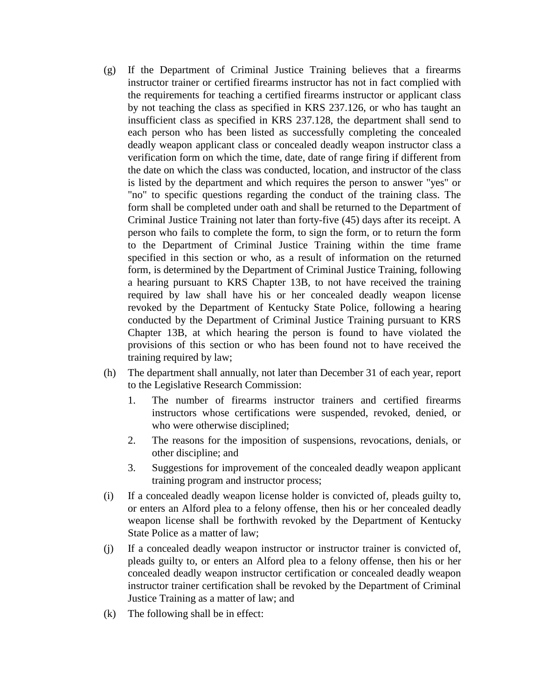- (g) If the Department of Criminal Justice Training believes that a firearms instructor trainer or certified firearms instructor has not in fact complied with the requirements for teaching a certified firearms instructor or applicant class by not teaching the class as specified in KRS 237.126, or who has taught an insufficient class as specified in KRS 237.128, the department shall send to each person who has been listed as successfully completing the concealed deadly weapon applicant class or concealed deadly weapon instructor class a verification form on which the time, date, date of range firing if different from the date on which the class was conducted, location, and instructor of the class is listed by the department and which requires the person to answer "yes" or "no" to specific questions regarding the conduct of the training class. The form shall be completed under oath and shall be returned to the Department of Criminal Justice Training not later than forty-five (45) days after its receipt. A person who fails to complete the form, to sign the form, or to return the form to the Department of Criminal Justice Training within the time frame specified in this section or who, as a result of information on the returned form, is determined by the Department of Criminal Justice Training, following a hearing pursuant to KRS Chapter 13B, to not have received the training required by law shall have his or her concealed deadly weapon license revoked by the Department of Kentucky State Police, following a hearing conducted by the Department of Criminal Justice Training pursuant to KRS Chapter 13B, at which hearing the person is found to have violated the provisions of this section or who has been found not to have received the training required by law;
- (h) The department shall annually, not later than December 31 of each year, report to the Legislative Research Commission:
	- 1. The number of firearms instructor trainers and certified firearms instructors whose certifications were suspended, revoked, denied, or who were otherwise disciplined;
	- 2. The reasons for the imposition of suspensions, revocations, denials, or other discipline; and
	- 3. Suggestions for improvement of the concealed deadly weapon applicant training program and instructor process;
- (i) If a concealed deadly weapon license holder is convicted of, pleads guilty to, or enters an Alford plea to a felony offense, then his or her concealed deadly weapon license shall be forthwith revoked by the Department of Kentucky State Police as a matter of law;
- (j) If a concealed deadly weapon instructor or instructor trainer is convicted of, pleads guilty to, or enters an Alford plea to a felony offense, then his or her concealed deadly weapon instructor certification or concealed deadly weapon instructor trainer certification shall be revoked by the Department of Criminal Justice Training as a matter of law; and
- (k) The following shall be in effect: